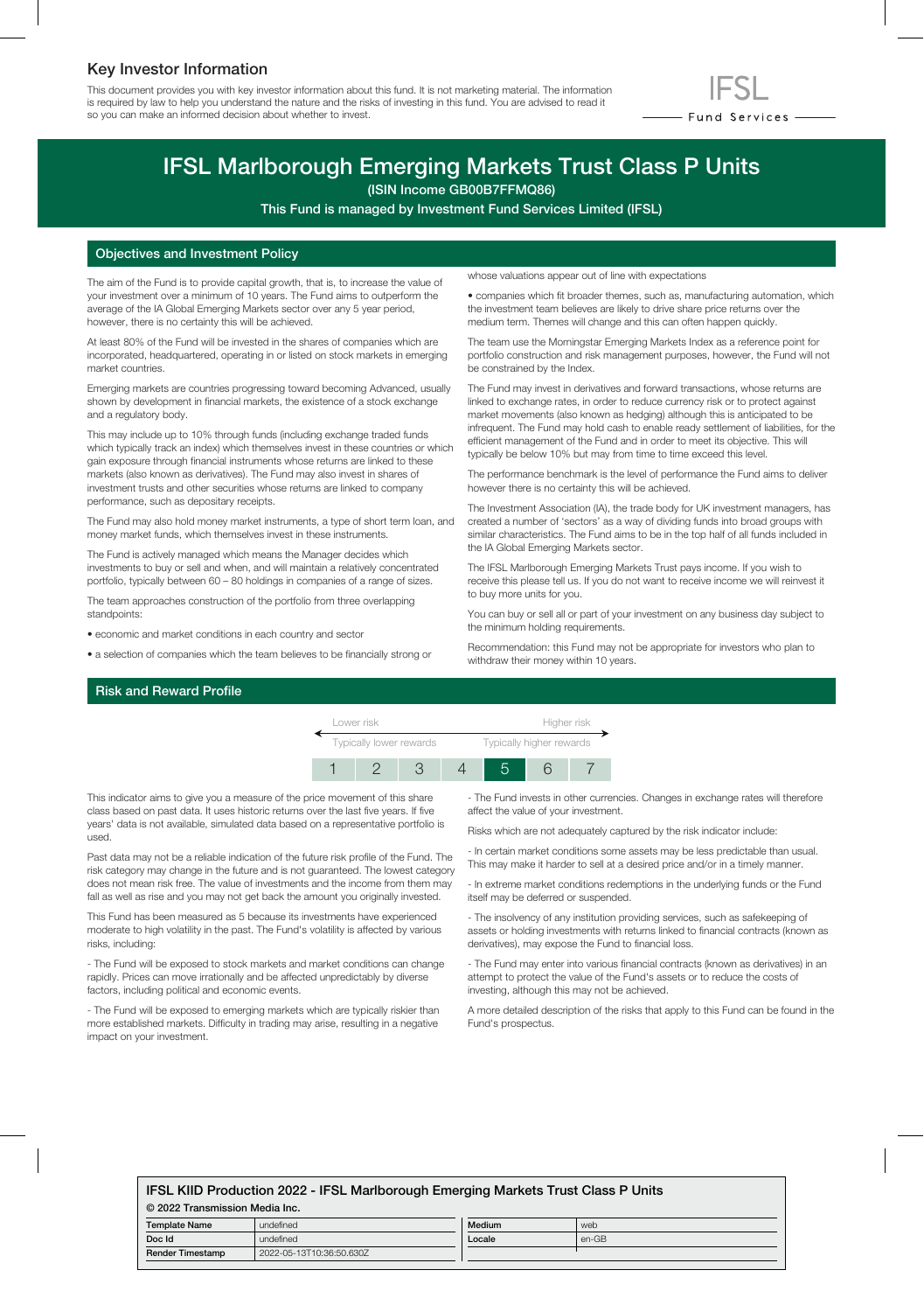# Key Investor Information

This document provides you with key investor information about this fund. It is not marketing material. The information is required by law to help you understand the nature and the risks of investing in this fund. You are advised to read it so you can make an informed decision about whether to invest.



# IFSL Marlborough Emerging Markets Trust Class P Units

(ISIN Income GB00B7FFMQ86)

This Fund is managed by Investment Fund Services Limited (IFSL)

### Objectives and Investment Policy

The aim of the Fund is to provide capital growth, that is, to increase the value of your investment over a minimum of 10 years. The Fund aims to outperform the average of the IA Global Emerging Markets sector over any 5 year period, however, there is no certainty this will be achieved.

At least 80% of the Fund will be invested in the shares of companies which are incorporated, headquartered, operating in or listed on stock markets in emerging market countries.

Emerging markets are countries progressing toward becoming Advanced, usually shown by development in financial markets, the existence of a stock exchange and a regulatory body.

This may include up to 10% through funds (including exchange traded funds which typically track an index) which themselves invest in these countries or which gain exposure through financial instruments whose returns are linked to these markets (also known as derivatives). The Fund may also invest in shares of investment trusts and other securities whose returns are linked to company performance, such as depositary receipts.

The Fund may also hold money market instruments, a type of short term loan, and money market funds, which themselves invest in these instruments.

The Fund is actively managed which means the Manager decides which investments to buy or sell and when, and will maintain a relatively concentrated portfolio, typically between 60 – 80 holdings in companies of a range of sizes.

The team approaches construction of the portfolio from three overlapping standpoints:

- economic and market conditions in each country and sector
- a selection of companies which the team believes to be financially strong or

whose valuations appear out of line with expectations

• companies which fit broader themes, such as, manufacturing automation, which the investment team believes are likely to drive share price returns over the medium term. Themes will change and this can often happen quickly.

The team use the Morningstar Emerging Markets Index as a reference point for portfolio construction and risk management purposes, however, the Fund will not be constrained by the Index.

The Fund may invest in derivatives and forward transactions, whose returns are linked to exchange rates, in order to reduce currency risk or to protect against market movements (also known as hedging) although this is anticipated to be infrequent. The Fund may hold cash to enable ready settlement of liabilities, for the efficient management of the Fund and in order to meet its objective. This will typically be below 10% but may from time to time exceed this level.

The performance benchmark is the level of performance the Fund aims to deliver however there is no certainty this will be achieved.

The Investment Association (IA), the trade body for UK investment managers, has created a number of 'sectors' as a way of dividing funds into broad groups with similar characteristics. The Fund aims to be in the top half of all funds included in the IA Global Emerging Markets sector.

The IFSL Marlborough Emerging Markets Trust pays income. If you wish to receive this please tell us. If you do not want to receive income we will reinvest it to buy more units for you.

You can buy or sell all or part of your investment on any business day subject to the minimum holding requirements.

Recommendation: this Fund may not be appropriate for investors who plan to withdraw their money within 10 years.

## Risk and Reward Profile



This indicator aims to give you a measure of the price movement of this share class based on past data. It uses historic returns over the last five years. If five years' data is not available, simulated data based on a representative portfolio is used.

Past data may not be a reliable indication of the future risk profile of the Fund. The risk category may change in the future and is not guaranteed. The lowest category does not mean risk free. The value of investments and the income from them may fall as well as rise and you may not get back the amount you originally invested.

This Fund has been measured as 5 because its investments have experienced moderate to high volatility in the past. The Fund's volatility is affected by various risks, including:

- The Fund will be exposed to stock markets and market conditions can change rapidly. Prices can move irrationally and be affected unpredictably by diverse factors, including political and economic events.

- The Fund will be exposed to emerging markets which are typically riskier than more established markets. Difficulty in trading may arise, resulting in a negative impact on your investment.

- The Fund invests in other currencies. Changes in exchange rates will therefore affect the value of your investment.

Risks which are not adequately captured by the risk indicator include:

- In certain market conditions some assets may be less predictable than usual. This may make it harder to sell at a desired price and/or in a timely manner.

- In extreme market conditions redemptions in the underlying funds or the Fund itself may be deferred or suspended.

- The insolvency of any institution providing services, such as safekeeping of assets or holding investments with returns linked to financial contracts (known as derivatives), may expose the Fund to financial loss.

- The Fund may enter into various financial contracts (known as derivatives) in an attempt to protect the value of the Fund's assets or to reduce the costs of investing, although this may not be achieved.

A more detailed description of the risks that apply to this Fund can be found in the Fund's prospectus.